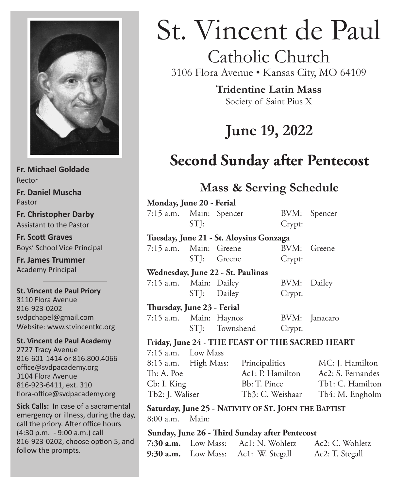

**Fr. Michael Goldade** Rector **Fr. Daniel Muscha** Pastor **Fr. Christopher Darby** Assistant to the Pastor **Fr. Scott Graves**

Boys' School Vice Principal

**Fr. James Trummer** Academy Principal

**St. Vincent de Paul Priory** 3110 Flora Avenue 816-923-0202 svdpchapel@gmail.com Website: www.stvincentkc.org

**St. Vincent de Paul Academy** 2727 Tracy Avenue 816-601-1414 or 816.800.4066 office@svdpacademy.org 3104 Flora Avenue 816-923-6411, ext. 310 flora-office@svdpacademy.org

**Sick Calls:** In case of a sacramental emergency or illness, during the day, call the priory. After office hours (4:30 p.m. - 9:00 a.m.) call 816-923-0202, choose option 5, and follow the prompts.

# St. Vincent de Paul

# Catholic Church

3106 Flora Avenue • Kansas City, MO 64109

**Tridentine Latin Mass** Society of Saint Pius X

# **June 19, 2022**

# **Second Sunday after Pentecost**

# **Mass & Serving Schedule**

| Monday, June 20 - Ferial                |             |                                     |                |             |                                                 |
|-----------------------------------------|-------------|-------------------------------------|----------------|-------------|-------------------------------------------------|
| 7:15 a.m. Main: Spencer                 |             |                                     |                |             | BVM: Spencer                                    |
|                                         | STJ:        |                                     |                | Crypt:      |                                                 |
| Tuesday, June 21 - St. Aloysius Gonzaga |             |                                     |                |             |                                                 |
| 7:15 a.m. Main: Greene                  |             |                                     |                |             | BVM: Greene                                     |
|                                         | STI: Greene |                                     |                | Crypt:      |                                                 |
| Wednesday, June 22 - St. Paulinas       |             |                                     |                |             |                                                 |
| 7:15 a.m. Main: Dailey                  |             |                                     |                | BVM: Dailey |                                                 |
|                                         | STJ: Dailey |                                     |                | Crypt:      |                                                 |
| Thursday, June 23 - Ferial              |             |                                     |                |             |                                                 |
| 7:15 a.m. Main: Haynos                  |             |                                     |                |             | BVM: Janacaro                                   |
|                                         |             |                                     | STJ: Townshend | Crypt:      |                                                 |
|                                         |             |                                     |                |             | Friday, June 24 - THE FEAST OF THE SACRED HEART |
| $7:15$ a.m. Low Mass                    |             |                                     |                |             |                                                 |
|                                         |             | 8:15 a.m. High Mass: Principalities |                |             | MC: J. Hamilton                                 |
| Th: A. Poe                              |             |                                     |                |             | Ac1: P. Hamilton Ac2: S. Fernandes              |

Cb: I. King Bb: T. Pince Tb1: C. Hamilton Tb2: J. Waliser Tb3: C. Weishaar Tb4: M. Engholm

**Saturday, June 25 - Nativity of St. John the Baptist** 8:00 a.m. Main:

#### **Sunday, June 26 - Third Sunday after Pentecost**

| 7:30 $a.m.$ Low Mass: | Ac1: N. Wohletz                     | Ac2: C. Wohletz |
|-----------------------|-------------------------------------|-----------------|
|                       | 9:30 a.m. Low Mass: Ac1: W. Stegall | Ac2: T. Stegall |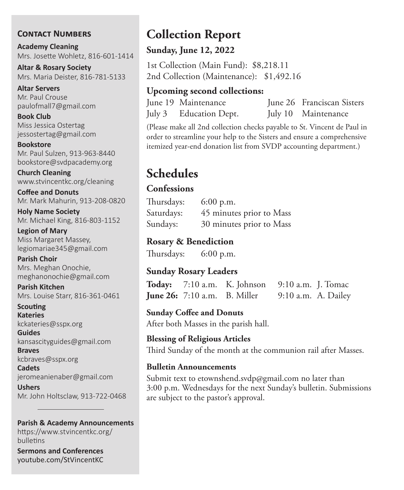#### **Contact Numbers**

**Academy Cleaning** Mrs. Josette Wohletz, 816-601-1414

**Altar & Rosary Society** Mrs. Maria Deister, 816-781-5133

**Altar Servers** Mr. Paul Crouse paulofmall7@gmail.com

**Book Club** Miss Jessica Ostertag jessostertag@gmail.com

**Bookstore** Mr. Paul Sulzen, 913-963-8440 bookstore@svdpacademy.org

**Church Cleaning** www.stvincentkc.org/cleaning

**Coffee and Donuts** Mr. Mark Mahurin, 913-208-0820

**Holy Name Society** Mr. Michael King, 816-803-1152

**Legion of Mary** Miss Margaret Massey, legiomariae345@gmail.com

**Parish Choir** Mrs. Meghan Onochie, meghanonochie@gmail.com

**Parish Kitchen** Mrs. Louise Starr, 816-361-0461

**Scouting Kateries** kckateries@sspx.org

**Guides** kansascityguides@gmail.com

**Braves** kcbraves@sspx.org

**Cadets** jeromeanienaber@gmail.com

**Ushers** Mr. John Holtsclaw, 913-722-0468

#### **Parish & Academy Announcements**

https://www.stvincentkc.org/ bulletins

**Sermons and Conferences** youtube.com/StVincentKC

# **Collection Report**

#### **Sunday, June 12, 2022**

1st Collection (Main Fund): \$8,218.11 2nd Collection (Maintenance): \$1,492.16

#### **Upcoming second collections:**

| June 19 Maintenance    | June 26 Franciscan Sisters |
|------------------------|----------------------------|
| July 3 Education Dept. | July 10 Maintenance        |

(Please make all 2nd collection checks payable to St. Vincent de Paul in order to streamline your help to the Sisters and ensure a comprehensive itemized year-end donation list from SVDP accounting department.)

# **Schedules**

#### **Confessions**

Thursdays: 6:00 p.m. Saturdays: 45 minutes prior to Mass Sundays: 30 minutes prior to Mass

#### **Rosary & Benediction**

Thursdays: 6:00 p.m.

#### **Sunday Rosary Leaders**

**Today:** 7:10 a.m. K. Johnson 9:10 a.m. J. Tomac **June 26:** 7:10 a.m. B. Miller 9:10 a.m. A. Dailey

**Sunday Coffee and Donuts** After both Masses in the parish hall.

## **Blessing of Religious Articles**

Third Sunday of the month at the communion rail after Masses.

#### **Bulletin Announcements**

Submit text to etownshend.svdp@gmail.com no later than 3:00 p.m. Wednesdays for the next Sunday's bulletin. Submissions are subject to the pastor's approval.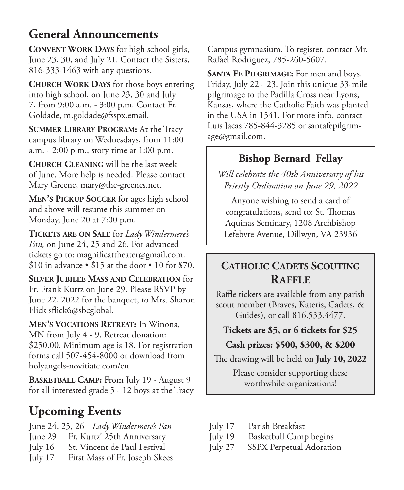# **General Announcements**

**Convent Work Days** for high school girls, June 23, 30, and July 21. Contact the Sisters, 816-333-1463 with any questions.

**Church Work Days** for those boys entering into high school, on June 23, 30 and July 7, from 9:00 a.m. - 3:00 p.m. Contact Fr. Goldade, m.goldade@fsspx.email.

**SUMMER LIBRARY PROGRAM:** At the Tracy campus library on Wednesdays, from 11:00 a.m. - 2:00 p.m., story time at 1:00 p.m.

**Church Cleaning** will be the last week of June. More help is needed. Please contact Mary Greene, mary@the-greenes.net.

**Men's Pickup Soccer** for ages high school and above will resume this summer on Monday, June 20 at 7:00 p.m.

**Tickets are on Sale** for *Lady Windermere's Fan,* on June 24, 25 and 26. For advanced tickets go to: magnificattheater@gmail.com. \$10 in advance • \$15 at the door • 10 for \$70.

**Silver Jubilee Mass and Celebration** for Fr. Frank Kurtz on June 29. Please RSVP by June 22, 2022 for the banquet, to Mrs. Sharon Flick sflick6@sbcglobal.

**Men's Vocations Retreat:** In Winona, MN from July 4 - 9. Retreat donation: \$250.00. Minimum age is 18. For registration forms call 507-454-8000 or download from holyangels-novitiate.com/en.

**BASKETBALL CAMP:** From July 19 - August 9 for all interested grade 5 - 12 boys at the Tracy

# **Upcoming Events**

- June 24, 25, 26 *Lady Windermere's Fan*
- June 29 Fr. Kurtz' 25th Anniversary
- July 16 St. Vincent de Paul Festival
- July 17 First Mass of Fr. Joseph Skees

Campus gymnasium. To register, contact Mr. Rafael Rodriguez, 785-260-5607.

**Santa Fe Pilgrimage:** For men and boys. Friday, July 22 - 23. Join this unique 33-mile pilgrimage to the Padilla Cross near Lyons, Kansas, where the Catholic Faith was planted in the USA in 1541. For more info, contact Luis Jacas 785-844-3285 or santafepilgrimage@gmail.com.

## **Bishop Bernard Fellay**

*Will celebrate the 40th Anniversary of his Priestly Ordination on June 29, 2022*

Anyone wishing to send a card of congratulations, send to: St. Thomas Aquinas Seminary, 1208 Archbishop Lefebvre Avenue, Dillwyn, VA 23936

## **CATHOLIC CADETS SCOUTING Raffle**

Raffle tickets are available from any parish scout member (Braves, Kateris, Cadets, & Guides), or call 816.533.4477.

### **Tickets are \$5, or 6 tickets for \$25**

## **Cash prizes: \$500, \$300, & \$200**

The drawing will be held on **July 10, 2022**

Please consider supporting these worthwhile organizations!

- July 17 Parish Breakfast
- July 19 Basketball Camp begins
- July 27 SSPX Perpetual Adoration